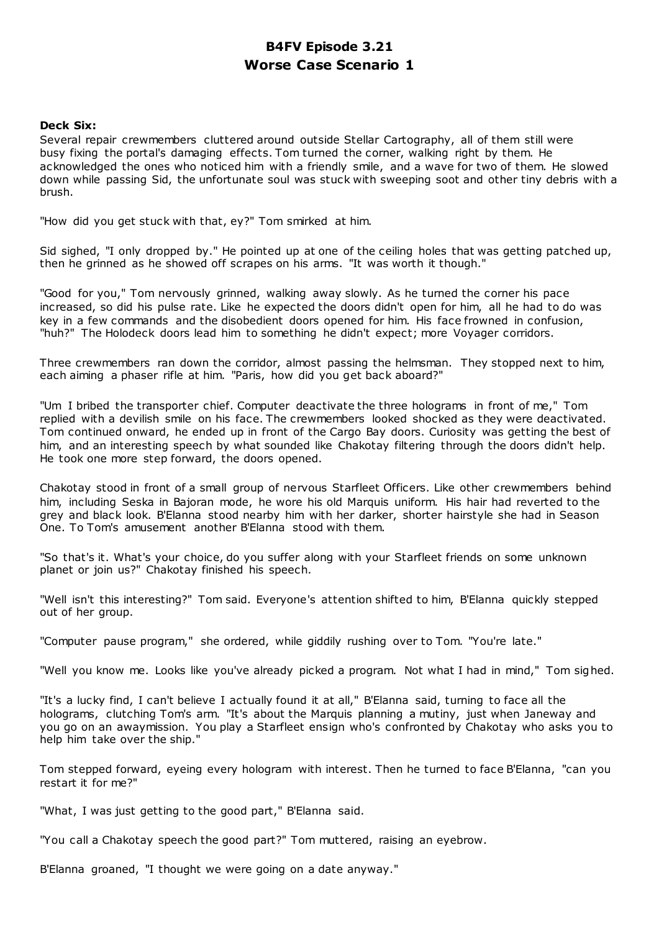# **B4FV Episode 3.21 Worse Case Scenario 1**

# **Deck Six:**

Several repair crewmembers cluttered around outside Stellar Cartography, all of them still were busy fixing the portal's damaging effects. Tom turned the corner, walking right by them. He acknowledged the ones who noticed him with a friendly smile, and a wave for two of them. He slowed down while passing Sid, the unfortunate soul was stuck with sweeping soot and other tiny debris with a brush.

"How did you get stuck with that, ey?" Tom smirked at him.

Sid sighed, "I only dropped by." He pointed up at one of the ceiling holes that was getting patched up, then he grinned as he showed off scrapes on his arms. "It was worth it though."

"Good for you," Tom nervously grinned, walking away slowly. As he turned the corner his pace increased, so did his pulse rate. Like he expected the doors didn't open for him, all he had to do was key in a few commands and the disobedient doors opened for him. His face frowned in confusion, "huh?" The Holodeck doors lead him to something he didn't expect; more Voyager corridors.

Three crewmembers ran down the corridor, almost passing the helmsman. They stopped next to him, each aiming a phaser rifle at him. "Paris, how did you get back aboard?"

"Um I bribed the transporter chief. Computer deactivate the three holograms in front of me," Tom replied with a devilish smile on his face. The crewmembers looked shocked as they were deactivated. Tom continued onward, he ended up in front of the Cargo Bay doors. Curiosity was getting the best of him, and an interesting speech by what sounded like Chakotay filtering through the doors didn't help. He took one more step forward, the doors opened.

Chakotay stood in front of a small group of nervous Starfleet Officers. Like other crewmembers behind him, including Seska in Bajoran mode, he wore his old Marquis uniform. His hair had reverted to the grey and black look. B'Elanna stood nearby him with her darker, shorter hairstyle she had in Season One. To Tom's amusement another B'Elanna stood with them.

"So that's it. What's your choice, do you suffer along with your Starfleet friends on some unknown planet or join us?" Chakotay finished his speech.

"Well isn't this interesting?" Tom said. Everyone's attention shifted to him, B'Elanna quickly stepped out of her group.

"Computer pause program," she ordered, while giddily rushing over to Tom. "You're late."

"Well you know me. Looks like you've already picked a program. Not what I had in mind," Tom sighed.

"It's a lucky find, I can't believe I actually found it at all," B'Elanna said, turning to face all the holograms, clutching Tom's arm. "It's about the Marquis planning a mutiny, just when Janeway and you go on an awaymission. You play a Starfleet ensign who's confronted by Chakotay who asks you to help him take over the ship."

Tom stepped forward, eyeing every hologram with interest. Then he turned to face B'Elanna, "can you restart it for me?"

"What, I was just getting to the good part," B'Elanna said.

"You call a Chakotay speech the good part?" Tom muttered, raising an eyebrow.

B'Elanna groaned, "I thought we were going on a date anyway."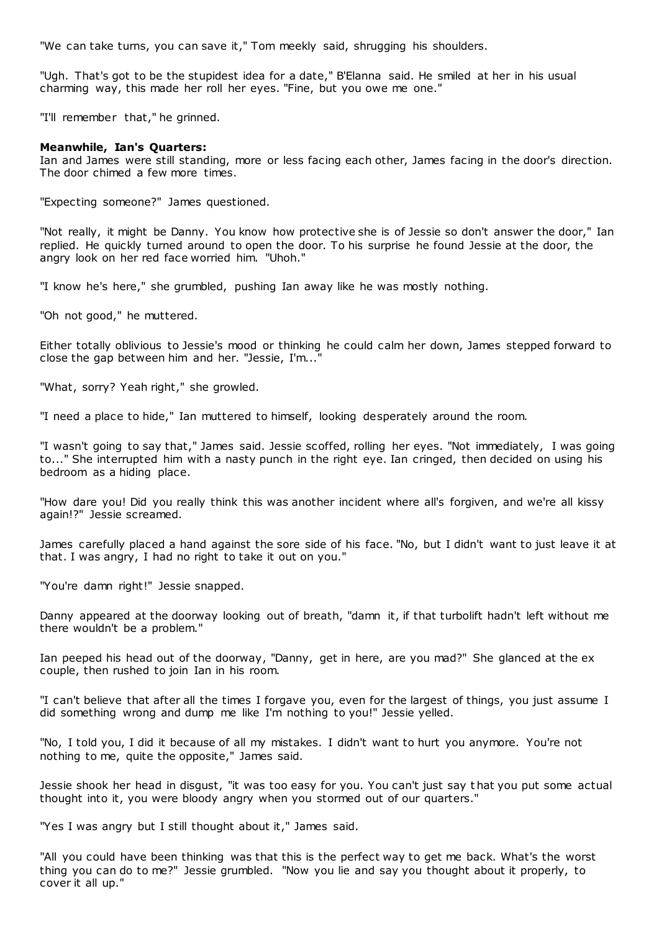"We can take turns, you can save it," Tom meekly said, shrugging his shoulders.

"Ugh. That's got to be the stupidest idea for a date," B'Elanna said. He smiled at her in his usual charming way, this made her roll her eyes. "Fine, but you owe me one."

"I'll remember that," he grinned.

#### **Meanwhile, Ian's Quarters:**

Ian and James were still standing, more or less facing each other, James facing in the door's direction. The door chimed a few more times.

"Expecting someone?" James questioned.

"Not really, it might be Danny. You know how protective she is of Jessie so don't answer the door," Ian replied. He quickly turned around to open the door. To his surprise he found Jessie at the door, the angry look on her red face worried him. "Uhoh."

"I know he's here," she grumbled, pushing Ian away like he was mostly nothing.

"Oh not good," he muttered.

Either totally oblivious to Jessie's mood or thinking he could calm her down, James stepped forward to close the gap between him and her. "Jessie, I'm..."

"What, sorry? Yeah right," she growled.

"I need a place to hide," Ian muttered to himself, looking desperately around the room.

"I wasn't going to say that," James said. Jessie scoffed, rolling her eyes. "Not immediately, I was going to..." She interrupted him with a nasty punch in the right eye. Ian cringed, then decided on using his bedroom as a hiding place.

"How dare you! Did you really think this was another incident where all's forgiven, and we're all kissy again!?" Jessie screamed.

James carefully placed a hand against the sore side of his face. "No, but I didn't want to just leave it at that. I was angry, I had no right to take it out on you."

"You're damn right!" Jessie snapped.

Danny appeared at the doorway looking out of breath, "damn it, if that turbolift hadn't left without me there wouldn't be a problem."

Ian peeped his head out of the doorway, "Danny, get in here, are you mad?" She glanced at the ex couple, then rushed to join Ian in his room.

"I can't believe that after all the times I forgave you, even for the largest of things, you just assume I did something wrong and dump me like I'm nothing to you!" Jessie yelled.

"No, I told you, I did it because of all my mistakes. I didn't want to hurt you anymore. You're not nothing to me, quite the opposite," James said.

Jessie shook her head in disgust, "it was too easy for you. You can't just say t hat you put some actual thought into it, you were bloody angry when you stormed out of our quarters."

"Yes I was angry but I still thought about it," James said.

"All you could have been thinking was that this is the perfect way to get me back. What's the worst thing you can do to me?" Jessie grumbled. "Now you lie and say you thought about it properly, to cover it all up."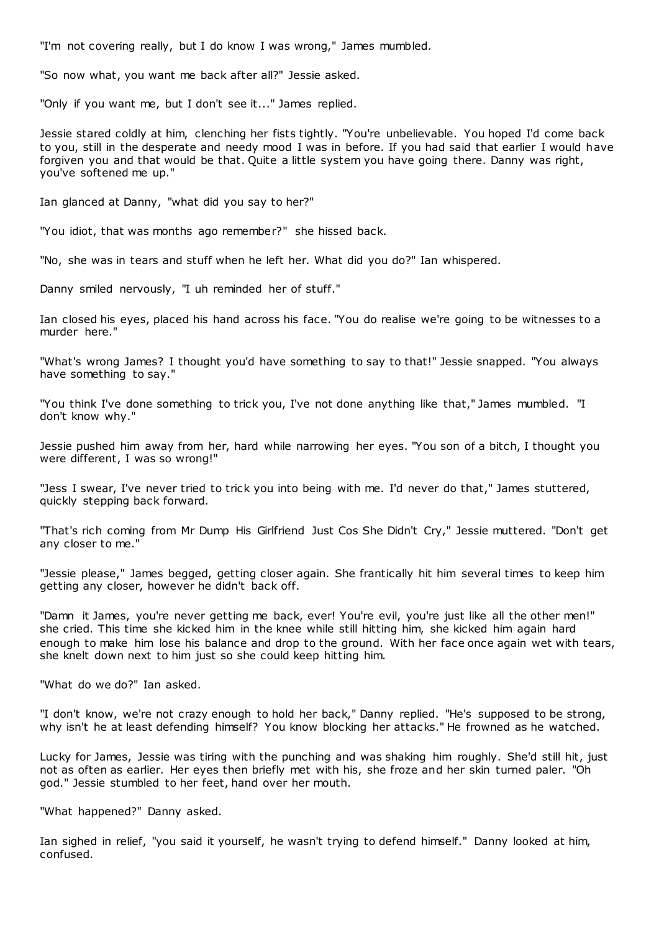"I'm not covering really, but I do know I was wrong," James mumbled.

"So now what, you want me back after all?" Jessie asked.

"Only if you want me, but I don't see it..." James replied.

Jessie stared coldly at him, clenching her fists tightly. "You're unbelievable. You hoped I'd come back to you, still in the desperate and needy mood I was in before. If you had said that earlier I would have forgiven you and that would be that. Quite a little system you have going there. Danny was right, you've softened me up."

Ian glanced at Danny, "what did you say to her?"

"You idiot, that was months ago remember?" she hissed back.

"No, she was in tears and stuff when he left her. What did you do?" Ian whispered.

Danny smiled nervously, "I uh reminded her of stuff."

Ian closed his eyes, placed his hand across his face. "You do realise we're going to be witnesses to a murder here."

"What's wrong James? I thought you'd have something to say to that!" Jessie snapped. "You always have something to say."

"You think I've done something to trick you, I've not done anything like that," James mumbled. "I don't know why."

Jessie pushed him away from her, hard while narrowing her eyes. "You son of a bitch, I thought you were different, I was so wrong!"

"Jess I swear, I've never tried to trick you into being with me. I'd never do that," James stuttered, quickly stepping back forward.

"That's rich coming from Mr Dump His Girlfriend Just Cos She Didn't Cry," Jessie muttered. "Don't get any closer to me."

"Jessie please," James begged, getting closer again. She frantically hit him several times to keep him getting any closer, however he didn't back off.

"Damn it James, you're never getting me back, ever! You're evil, you're just like all the other men!" she cried. This time she kicked him in the knee while still hitting him, she kicked him again hard enough to make him lose his balance and drop to the ground. With her face once again wet with tears, she knelt down next to him just so she could keep hitting him.

"What do we do?" Ian asked.

"I don't know, we're not crazy enough to hold her back," Danny replied. "He's supposed to be strong, why isn't he at least defending himself? You know blocking her attacks." He frowned as he watched.

Lucky for James, Jessie was tiring with the punching and was shaking him roughly. She'd still hit, just not as often as earlier. Her eyes then briefly met with his, she froze and her skin turned paler. "Oh god." Jessie stumbled to her feet, hand over her mouth.

"What happened?" Danny asked.

Ian sighed in relief, "you said it yourself, he wasn't trying to defend himself." Danny looked at him, confused.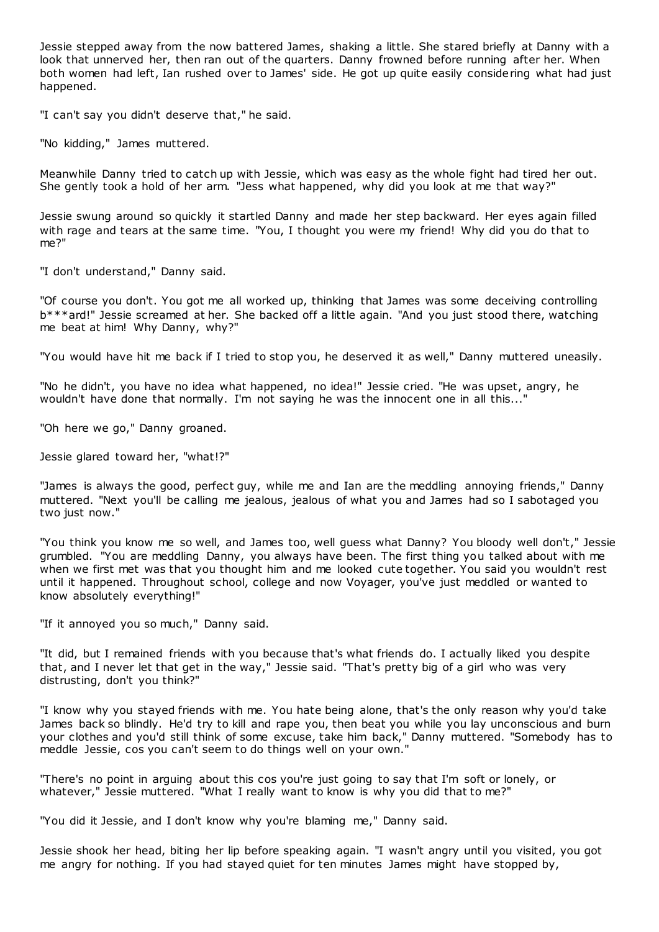Jessie stepped away from the now battered James, shaking a little. She stared briefly at Danny with a look that unnerved her, then ran out of the quarters. Danny frowned before running after her. When both women had left, Ian rushed over to James' side. He got up quite easily considering what had just happened.

"I can't say you didn't deserve that," he said.

"No kidding," James muttered.

Meanwhile Danny tried to catch up with Jessie, which was easy as the whole fight had tired her out. She gently took a hold of her arm. "Jess what happened, why did you look at me that way?"

Jessie swung around so quickly it startled Danny and made her step backward. Her eyes again filled with rage and tears at the same time. "You, I thought you were my friend! Why did you do that to me?"

"I don't understand," Danny said.

"Of course you don't. You got me all worked up, thinking that James was some deceiving controlling b\*\*\*ard!" Jessie screamed at her. She backed off a little again. "And you just stood there, watching me beat at him! Why Danny, why?"

"You would have hit me back if I tried to stop you, he deserved it as well," Danny muttered uneasily.

"No he didn't, you have no idea what happened, no idea!" Jessie cried. "He was upset, angry, he wouldn't have done that normally. I'm not saying he was the innocent one in all this..."

"Oh here we go," Danny groaned.

Jessie glared toward her, "what!?"

"James is always the good, perfect guy, while me and Ian are the meddling annoying friends," Danny muttered. "Next you'll be calling me jealous, jealous of what you and James had so I sabotaged you two just now."

"You think you know me so well, and James too, well guess what Danny? You bloody well don't," Jessie grumbled. "You are meddling Danny, you always have been. The first thing you talked about with me when we first met was that you thought him and me looked cute together. You said you wouldn't rest until it happened. Throughout school, college and now Voyager, you've just meddled or wanted to know absolutely everything!"

"If it annoyed you so much," Danny said.

"It did, but I remained friends with you because that's what friends do. I actually liked you despite that, and I never let that get in the way," Jessie said. "That's pretty big of a girl who was very distrusting, don't you think?"

"I know why you stayed friends with me. You hate being alone, that's the only reason why you'd take James back so blindly. He'd try to kill and rape you, then beat you while you lay unconscious and burn your clothes and you'd still think of some excuse, take him back," Danny muttered. "Somebody has to meddle Jessie, cos you can't seem to do things well on your own."

"There's no point in arguing about this cos you're just going to say that I'm soft or lonely, or whatever," Jessie muttered. "What I really want to know is why you did that to me?"

"You did it Jessie, and I don't know why you're blaming me," Danny said.

Jessie shook her head, biting her lip before speaking again. "I wasn't angry until you visited, you got me angry for nothing. If you had stayed quiet for ten minutes James might have stopped by,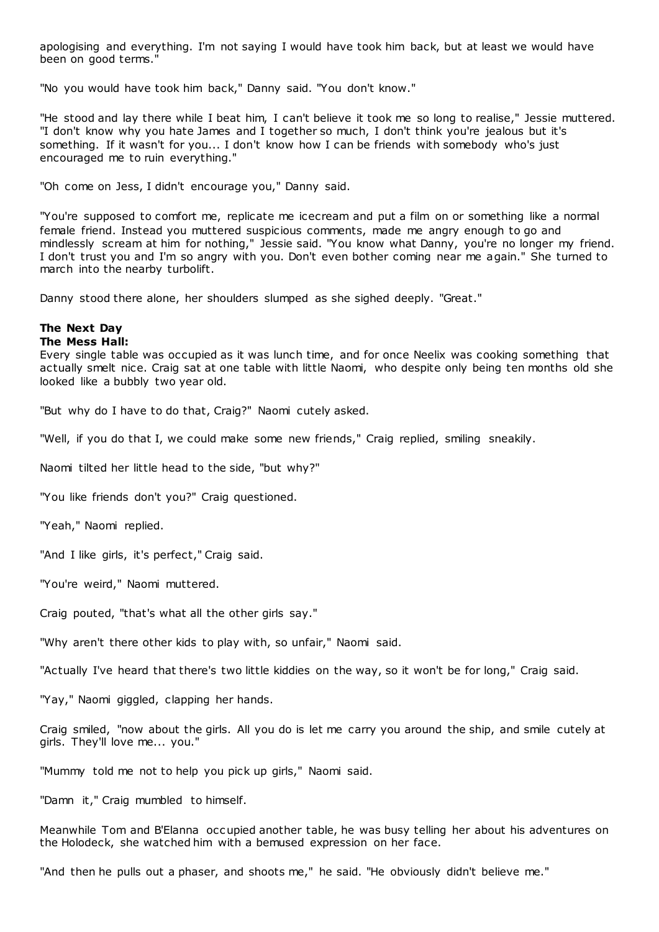apologising and everything. I'm not saying I would have took him back, but at least we would have been on good terms."

"No you would have took him back," Danny said. "You don't know."

"He stood and lay there while I beat him, I can't believe it took me so long to realise," Jessie muttered. "I don't know why you hate James and I together so much, I don't think you're jealous but it's something. If it wasn't for you... I don't know how I can be friends with somebody who's just encouraged me to ruin everything."

"Oh come on Jess, I didn't encourage you," Danny said.

"You're supposed to comfort me, replicate me icecream and put a film on or something like a normal female friend. Instead you muttered suspicious comments, made me angry enough to go and mindlessly scream at him for nothing," Jessie said. "You know what Danny, you're no longer my friend. I don't trust you and I'm so angry with you. Don't even bother coming near me again." She turned to march into the nearby turbolift.

Danny stood there alone, her shoulders slumped as she sighed deeply. "Great."

# **The Next Day**

# **The Mess Hall:**

Every single table was occupied as it was lunch time, and for once Neelix was cooking something that actually smelt nice. Craig sat at one table with little Naomi, who despite only being ten months old she looked like a bubbly two year old.

"But why do I have to do that, Craig?" Naomi cutely asked.

"Well, if you do that I, we could make some new friends," Craig replied, smiling sneakily.

Naomi tilted her little head to the side, "but why?"

"You like friends don't you?" Craig questioned.

"Yeah," Naomi replied.

"And I like girls, it's perfect," Craig said.

"You're weird," Naomi muttered.

Craig pouted, "that's what all the other girls say."

"Why aren't there other kids to play with, so unfair," Naomi said.

"Actually I've heard that there's two little kiddies on the way, so it won't be for long," Craig said.

"Yay," Naomi giggled, clapping her hands.

Craig smiled, "now about the girls. All you do is let me carry you around the ship, and smile cutely at girls. They'll love me... you."

"Mummy told me not to help you pick up girls," Naomi said.

"Damn it," Craig mumbled to himself.

Meanwhile Tom and B'Elanna occupied another table, he was busy telling her about his adventures on the Holodeck, she watched him with a bemused expression on her face.

"And then he pulls out a phaser, and shoots me," he said. "He obviously didn't believe me."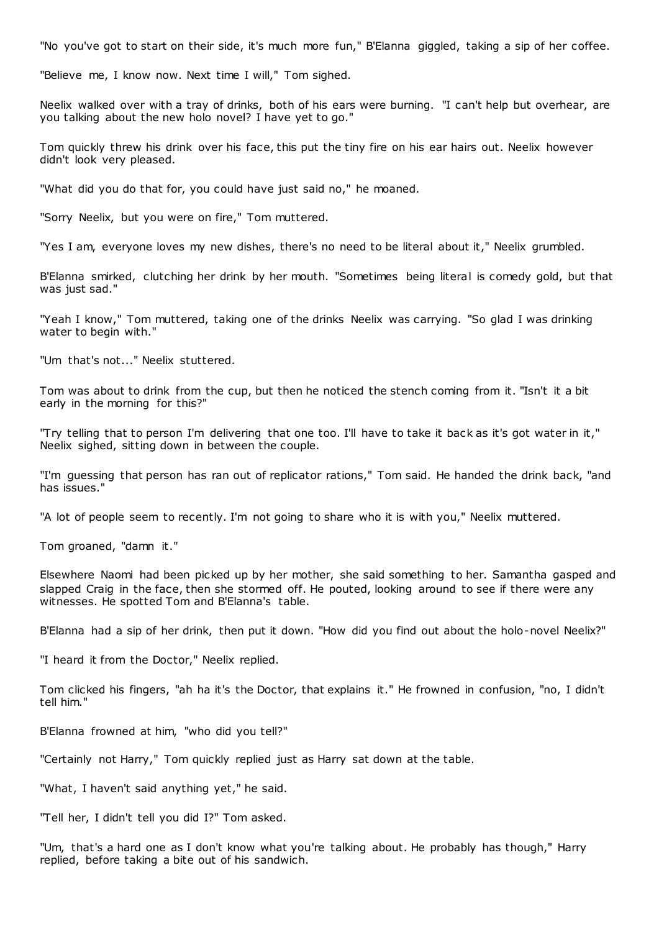"No you've got to start on their side, it's much more fun," B'Elanna giggled, taking a sip of her coffee.

"Believe me, I know now. Next time I will," Tom sighed.

Neelix walked over with a tray of drinks, both of his ears were burning. "I can't help but overhear, are you talking about the new holo novel? I have yet to go."

Tom quickly threw his drink over his face, this put the tiny fire on his ear hairs out. Neelix however didn't look very pleased.

"What did you do that for, you could have just said no," he moaned.

"Sorry Neelix, but you were on fire," Tom muttered.

"Yes I am, everyone loves my new dishes, there's no need to be literal about it," Neelix grumbled.

B'Elanna smirked, clutching her drink by her mouth. "Sometimes being literal is comedy gold, but that was just sad."

"Yeah I know," Tom muttered, taking one of the drinks Neelix was carrying. "So glad I was drinking water to begin with."

"Um that's not..." Neelix stuttered.

Tom was about to drink from the cup, but then he noticed the stench coming from it. "Isn't it a bit early in the morning for this?"

"Try telling that to person I'm delivering that one too. I'll have to take it back as it's got water in it," Neelix sighed, sitting down in between the couple.

"I'm guessing that person has ran out of replicator rations," Tom said. He handed the drink back, "and has issues."

"A lot of people seem to recently. I'm not going to share who it is with you," Neelix muttered.

Tom groaned, "damn it."

Elsewhere Naomi had been picked up by her mother, she said something to her. Samantha gasped and slapped Craig in the face, then she stormed off. He pouted, looking around to see if there were any witnesses. He spotted Tom and B'Elanna's table.

B'Elanna had a sip of her drink, then put it down. "How did you find out about the holo-novel Neelix?"

"I heard it from the Doctor," Neelix replied.

Tom clicked his fingers, "ah ha it's the Doctor, that explains it." He frowned in confusion, "no, I didn't tell him."

B'Elanna frowned at him, "who did you tell?"

"Certainly not Harry," Tom quickly replied just as Harry sat down at the table.

"What, I haven't said anything yet," he said.

"Tell her, I didn't tell you did I?" Tom asked.

"Um, that's a hard one as I don't know what you're talking about. He probably has though," Harry replied, before taking a bite out of his sandwich.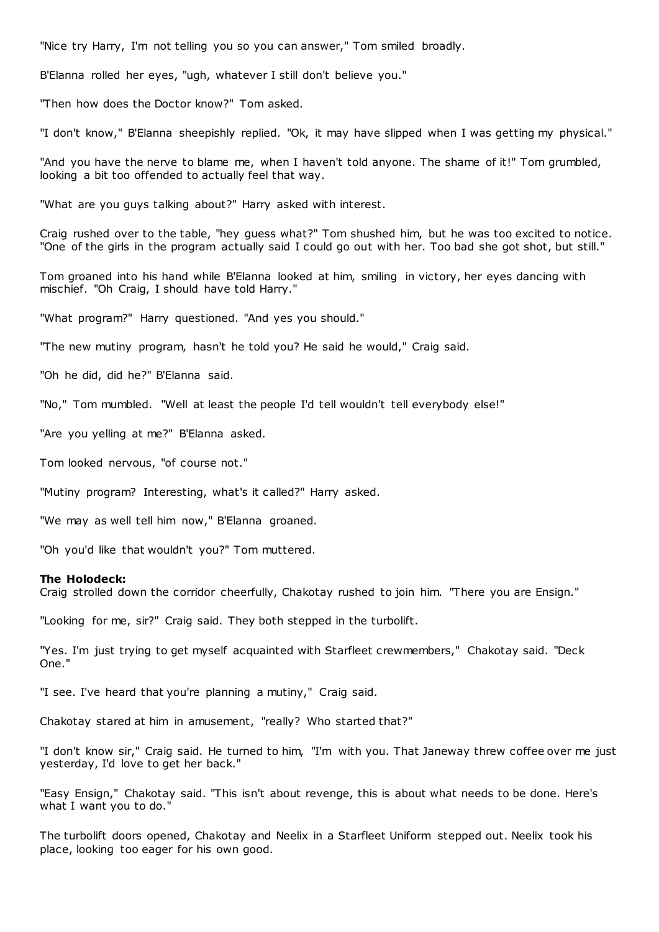"Nice try Harry, I'm not telling you so you can answer," Tom smiled broadly.

B'Elanna rolled her eyes, "ugh, whatever I still don't believe you."

"Then how does the Doctor know?" Tom asked.

"I don't know," B'Elanna sheepishly replied. "Ok, it may have slipped when I was getting my physical."

"And you have the nerve to blame me, when I haven't told anyone. The shame of it!" Tom grumbled, looking a bit too offended to actually feel that way.

"What are you guys talking about?" Harry asked with interest.

Craig rushed over to the table, "hey guess what?" Tom shushed him, but he was too excited to notice. "One of the girls in the program actually said I could go out with her. Too bad she got shot, but still."

Tom groaned into his hand while B'Elanna looked at him, smiling in victory, her eyes dancing with mischief. "Oh Craig, I should have told Harry."

"What program?" Harry questioned. "And yes you should."

"The new mutiny program, hasn't he told you? He said he would," Craig said.

"Oh he did, did he?" B'Elanna said.

"No," Tom mumbled. "Well at least the people I'd tell wouldn't tell everybody else!"

"Are you yelling at me?" B'Elanna asked.

Tom looked nervous, "of course not."

"Mutiny program? Interesting, what's it called?" Harry asked.

"We may as well tell him now," B'Elanna groaned.

"Oh you'd like that wouldn't you?" Tom muttered.

#### **The Holodeck:**

Craig strolled down the corridor cheerfully, Chakotay rushed to join him. "There you are Ensign."

"Looking for me, sir?" Craig said. They both stepped in the turbolift.

"Yes. I'm just trying to get myself acquainted with Starfleet crewmembers," Chakotay said. "Deck One."

"I see. I've heard that you're planning a mutiny," Craig said.

Chakotay stared at him in amusement, "really? Who started that?"

"I don't know sir," Craig said. He turned to him, "I'm with you. That Janeway threw coffee over me just yesterday, I'd love to get her back."

"Easy Ensign," Chakotay said. "This isn't about revenge, this is about what needs to be done. Here's what I want you to do."

The turbolift doors opened, Chakotay and Neelix in a Starfleet Uniform stepped out. Neelix took his place, looking too eager for his own good.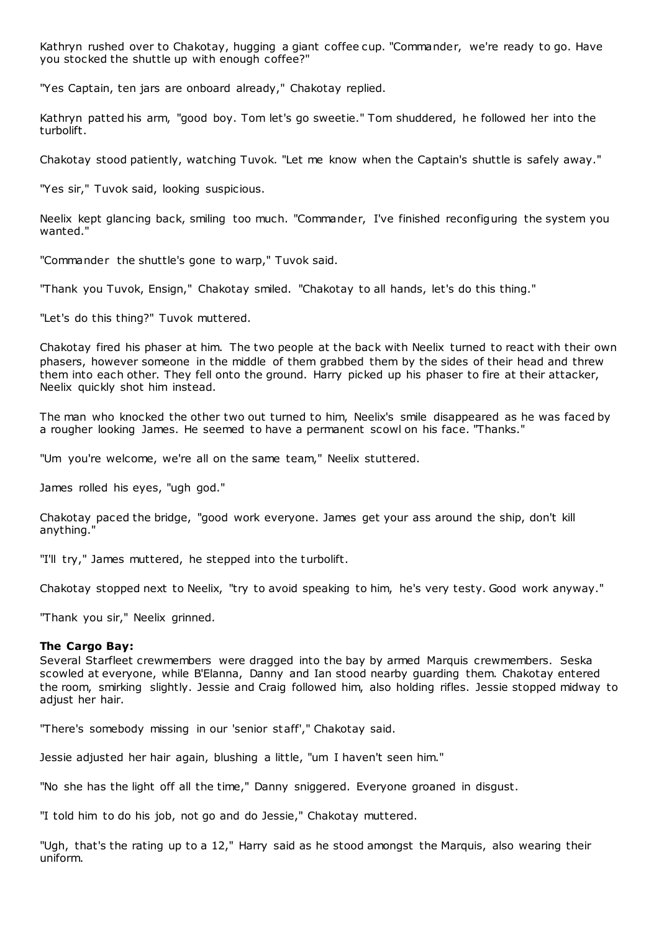Kathryn rushed over to Chakotay, hugging a giant coffee cup. "Commander, we're ready to go. Have you stocked the shuttle up with enough coffee?"

"Yes Captain, ten jars are onboard already," Chakotay replied.

Kathryn patted his arm, "good boy. Tom let's go sweetie." Tom shuddered, he followed her into the turbolift.

Chakotay stood patiently, watching Tuvok. "Let me know when the Captain's shuttle is safely away."

"Yes sir," Tuvok said, looking suspicious.

Neelix kept glancing back, smiling too much. "Commander, I've finished reconfiguring the system you wanted."

"Commander the shuttle's gone to warp," Tuvok said.

"Thank you Tuvok, Ensign," Chakotay smiled. "Chakotay to all hands, let's do this thing."

"Let's do this thing?" Tuvok muttered.

Chakotay fired his phaser at him. The two people at the back with Neelix turned to react with their own phasers, however someone in the middle of them grabbed them by the sides of their head and threw them into each other. They fell onto the ground. Harry picked up his phaser to fire at their attacker, Neelix quickly shot him instead.

The man who knocked the other two out turned to him, Neelix's smile disappeared as he was faced by a rougher looking James. He seemed to have a permanent scowl on his face. "Thanks."

"Um you're welcome, we're all on the same team," Neelix stuttered.

James rolled his eyes, "ugh god."

Chakotay paced the bridge, "good work everyone. James get your ass around the ship, don't kill anything."

"I'll try," James muttered, he stepped into the turbolift.

Chakotay stopped next to Neelix, "try to avoid speaking to him, he's very testy. Good work anyway."

"Thank you sir," Neelix grinned.

# **The Cargo Bay:**

Several Starfleet crewmembers were dragged into the bay by armed Marquis crewmembers. Seska scowled at everyone, while B'Elanna, Danny and Ian stood nearby guarding them. Chakotay entered the room, smirking slightly. Jessie and Craig followed him, also holding rifles. Jessie stopped midway to adjust her hair.

"There's somebody missing in our 'senior staff'," Chakotay said.

Jessie adjusted her hair again, blushing a little, "um I haven't seen him."

"No she has the light off all the time," Danny sniggered. Everyone groaned in disgust.

"I told him to do his job, not go and do Jessie," Chakotay muttered.

"Ugh, that's the rating up to a 12," Harry said as he stood amongst the Marquis, also wearing their uniform.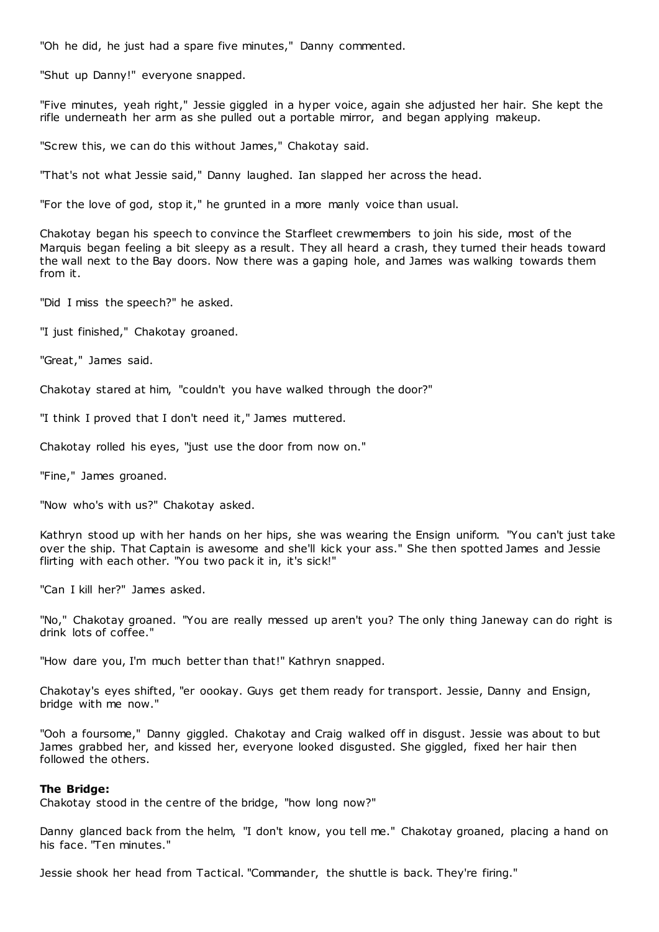"Oh he did, he just had a spare five minutes," Danny commented.

"Shut up Danny!" everyone snapped.

"Five minutes, yeah right," Jessie giggled in a hyper voice, again she adjusted her hair. She kept the rifle underneath her arm as she pulled out a portable mirror, and began applying makeup.

"Screw this, we can do this without James," Chakotay said.

"That's not what Jessie said," Danny laughed. Ian slapped her across the head.

"For the love of god, stop it," he grunted in a more manly voice than usual.

Chakotay began his speech to convince the Starfleet crewmembers to join his side, most of the Marquis began feeling a bit sleepy as a result. They all heard a crash, they turned their heads toward the wall next to the Bay doors. Now there was a gaping hole, and James was walking towards them from it.

"Did I miss the speech?" he asked.

"I just finished," Chakotay groaned.

"Great," James said.

Chakotay stared at him, "couldn't you have walked through the door?"

"I think I proved that I don't need it," James muttered.

Chakotay rolled his eyes, "just use the door from now on."

"Fine," James groaned.

"Now who's with us?" Chakotay asked.

Kathryn stood up with her hands on her hips, she was wearing the Ensign uniform. "You can't just take over the ship. That Captain is awesome and she'll kick your ass." She then spotted James and Jessie flirting with each other. "You two pack it in, it's sick!"

"Can I kill her?" James asked.

"No," Chakotay groaned. "You are really messed up aren't you? The only thing Janeway can do right is drink lots of coffee."

"How dare you, I'm much better than that!" Kathryn snapped.

Chakotay's eyes shifted, "er oookay. Guys get them ready for transport. Jessie, Danny and Ensign, bridge with me now."

"Ooh a foursome," Danny giggled. Chakotay and Craig walked off in disgust. Jessie was about to but James grabbed her, and kissed her, everyone looked disgusted. She giggled, fixed her hair then followed the others.

#### **The Bridge:**

Chakotay stood in the centre of the bridge, "how long now?"

Danny glanced back from the helm, "I don't know, you tell me." Chakotay groaned, placing a hand on his face. "Ten minutes."

Jessie shook her head from Tactical. "Commander, the shuttle is back. They're firing."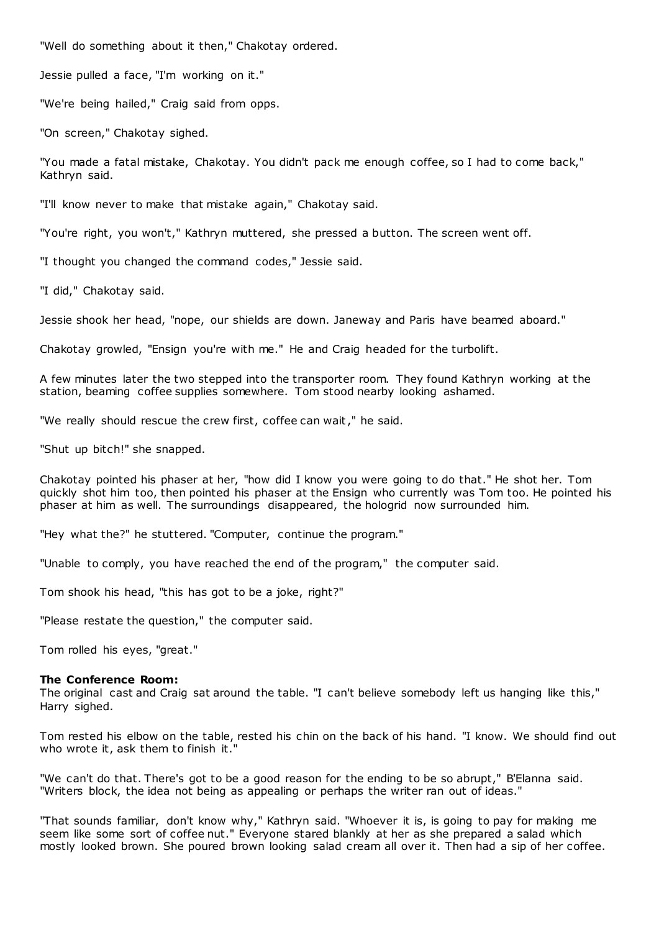"Well do something about it then," Chakotay ordered.

Jessie pulled a face, "I'm working on it."

"We're being hailed," Craig said from opps.

"On screen," Chakotay sighed.

"You made a fatal mistake, Chakotay. You didn't pack me enough coffee, so I had to come back," Kathryn said.

"I'll know never to make that mistake again," Chakotay said.

"You're right, you won't," Kathryn muttered, she pressed a button. The screen went off.

"I thought you changed the command codes," Jessie said.

"I did," Chakotay said.

Jessie shook her head, "nope, our shields are down. Janeway and Paris have beamed aboard."

Chakotay growled, "Ensign you're with me." He and Craig headed for the turbolift.

A few minutes later the two stepped into the transporter room. They found Kathryn working at the station, beaming coffee supplies somewhere. Tom stood nearby looking ashamed.

"We really should rescue the crew first, coffee can wait," he said.

"Shut up bitch!" she snapped.

Chakotay pointed his phaser at her, "how did I know you were going to do that." He shot her. Tom quickly shot him too, then pointed his phaser at the Ensign who currently was Tom too. He pointed his phaser at him as well. The surroundings disappeared, the hologrid now surrounded him.

"Hey what the?" he stuttered. "Computer, continue the program."

"Unable to comply, you have reached the end of the program," the computer said.

Tom shook his head, "this has got to be a joke, right?"

"Please restate the question," the computer said.

Tom rolled his eyes, "great."

#### **The Conference Room:**

The original cast and Craig sat around the table. "I can't believe somebody left us hanging like this," Harry sighed.

Tom rested his elbow on the table, rested his chin on the back of his hand. "I know. We should find out who wrote it, ask them to finish it."

"We can't do that. There's got to be a good reason for the ending to be so abrupt," B'Elanna said. "Writers block, the idea not being as appealing or perhaps the writer ran out of ideas."

"That sounds familiar, don't know why," Kathryn said. "Whoever it is, is going to pay for making me seem like some sort of coffee nut." Everyone stared blankly at her as she prepared a salad which mostly looked brown. She poured brown looking salad cream all over it. Then had a sip of her coffee.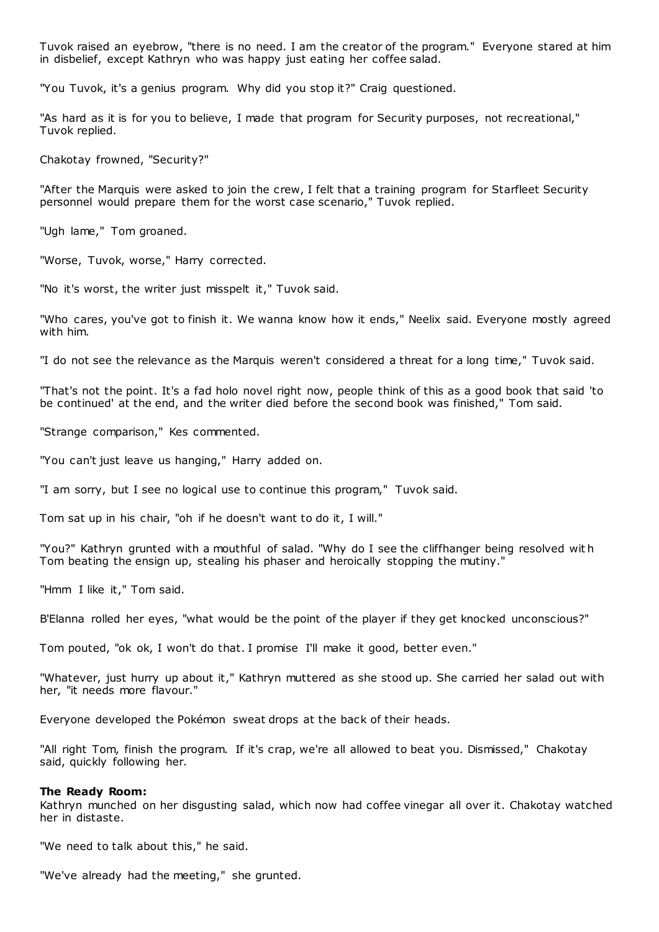Tuvok raised an eyebrow, "there is no need. I am the creator of the program." Everyone stared at him in disbelief, except Kathryn who was happy just eating her coffee salad.

"You Tuvok, it's a genius program. Why did you stop it?" Craig questioned.

"As hard as it is for you to believe, I made that program for Security purposes, not recreational," Tuvok replied.

Chakotay frowned, "Security?"

"After the Marquis were asked to join the crew, I felt that a training program for Starfleet Security personnel would prepare them for the worst case scenario," Tuvok replied.

"Ugh lame," Tom groaned.

"Worse, Tuvok, worse," Harry corrected.

"No it's worst, the writer just misspelt it," Tuvok said.

"Who cares, you've got to finish it. We wanna know how it ends," Neelix said. Everyone mostly agreed with him.

"I do not see the relevance as the Marquis weren't considered a threat for a long time," Tuvok said.

"That's not the point. It's a fad holo novel right now, people think of this as a good book that said 'to be continued' at the end, and the writer died before the second book was finished," Tom said.

"Strange comparison," Kes commented.

"You can't just leave us hanging," Harry added on.

"I am sorry, but I see no logical use to continue this program," Tuvok said.

Tom sat up in his chair, "oh if he doesn't want to do it, I will."

"You?" Kathryn grunted with a mouthful of salad. "Why do I see the cliffhanger being resolved wit h Tom beating the ensign up, stealing his phaser and heroically stopping the mutiny."

"Hmm I like it," Tom said.

B'Elanna rolled her eyes, "what would be the point of the player if they get knocked unconscious?"

Tom pouted, "ok ok, I won't do that. I promise I'll make it good, better even."

"Whatever, just hurry up about it," Kathryn muttered as she stood up. She carried her salad out with her, "it needs more flavour."

Everyone developed the Pokémon sweat drops at the back of their heads.

"All right Tom, finish the program. If it's crap, we're all allowed to beat you. Dismissed," Chakotay said, quickly following her.

#### **The Ready Room:**

Kathryn munched on her disgusting salad, which now had coffee vinegar all over it. Chakotay watched her in distaste.

"We need to talk about this," he said.

"We've already had the meeting," she grunted.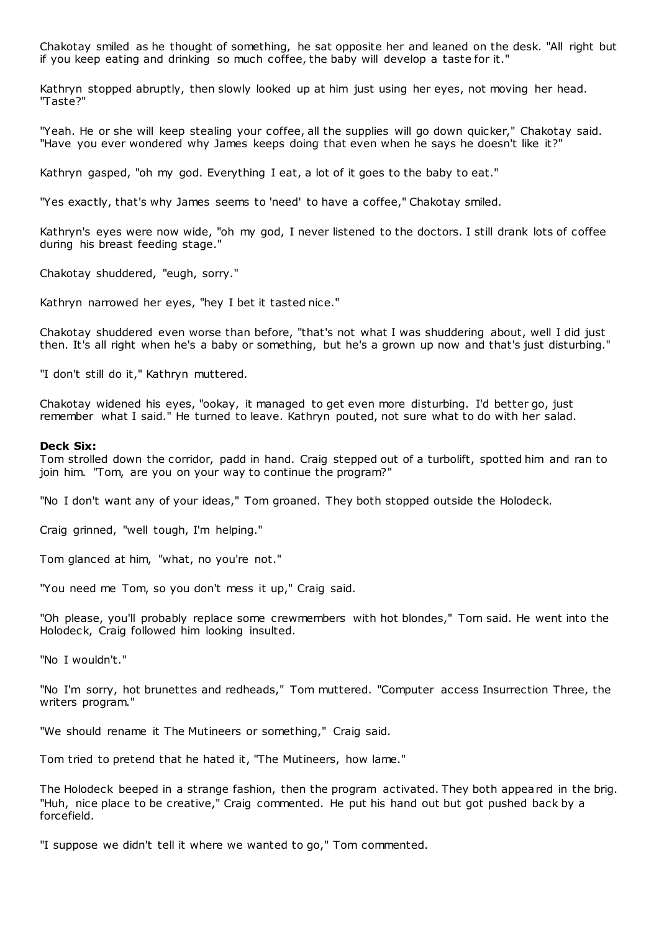Chakotay smiled as he thought of something, he sat opposite her and leaned on the desk. "All right but if you keep eating and drinking so much coffee, the baby will develop a taste for it."

Kathryn stopped abruptly, then slowly looked up at him just using her eyes, not moving her head. "Taste?"

"Yeah. He or she will keep stealing your coffee, all the supplies will go down quicker," Chakotay said. "Have you ever wondered why James keeps doing that even when he says he doesn't like it?"

Kathryn gasped, "oh my god. Everything I eat, a lot of it goes to the baby to eat."

"Yes exactly, that's why James seems to 'need' to have a coffee," Chakotay smiled.

Kathryn's eyes were now wide, "oh my god, I never listened to the doctors. I still drank lots of coffee during his breast feeding stage."

Chakotay shuddered, "eugh, sorry."

Kathryn narrowed her eyes, "hey I bet it tasted nice."

Chakotay shuddered even worse than before, "that's not what I was shuddering about, well I did just then. It's all right when he's a baby or something, but he's a grown up now and that's just disturbing."

"I don't still do it," Kathryn muttered.

Chakotay widened his eyes, "ookay, it managed to get even more disturbing. I'd better go, just remember what I said." He turned to leave. Kathryn pouted, not sure what to do with her salad.

#### **Deck Six:**

Tom strolled down the corridor, padd in hand. Craig stepped out of a turbolift, spotted him and ran to join him. "Tom, are you on your way to continue the program?"

"No I don't want any of your ideas," Tom groaned. They both stopped outside the Holodeck.

Craig grinned, "well tough, I'm helping."

Tom glanced at him, "what, no you're not."

"You need me Tom, so you don't mess it up," Craig said.

"Oh please, you'll probably replace some crewmembers with hot blondes," Tom said. He went into the Holodeck, Craig followed him looking insulted.

"No I wouldn't."

"No I'm sorry, hot brunettes and redheads," Tom muttered. "Computer access Insurrection Three, the writers program."

"We should rename it The Mutineers or something," Craig said.

Tom tried to pretend that he hated it, "The Mutineers, how lame."

The Holodeck beeped in a strange fashion, then the program activated. They both appeared in the brig. "Huh, nice place to be creative," Craig commented. He put his hand out but got pushed back by a forcefield.

"I suppose we didn't tell it where we wanted to go," Tom commented.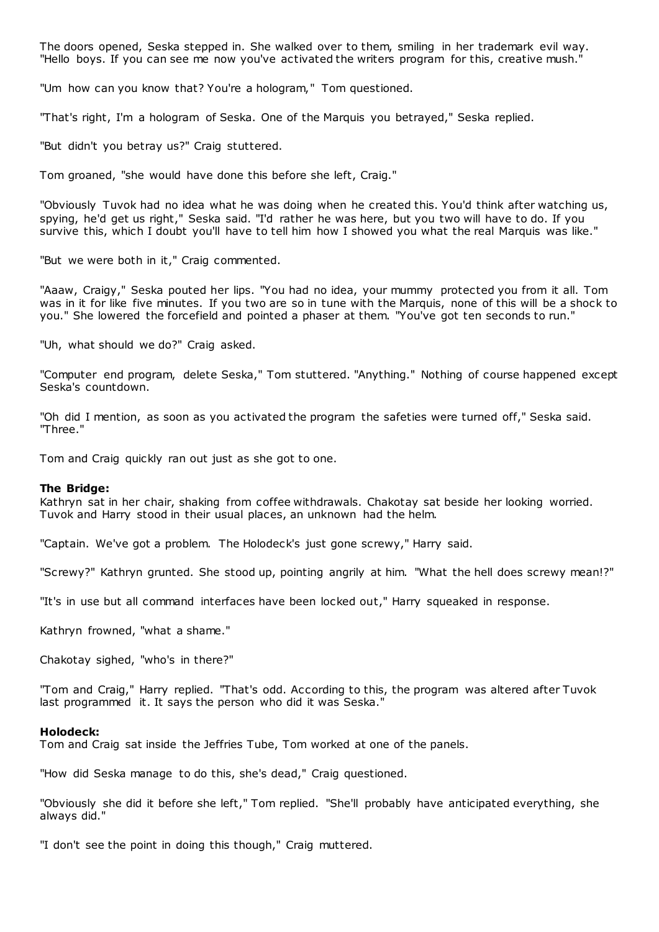The doors opened, Seska stepped in. She walked over to them, smiling in her trademark evil way. "Hello boys. If you can see me now you've activated the writers program for this, creative mush."

"Um how can you know that? You're a hologram," Tom questioned.

"That's right, I'm a hologram of Seska. One of the Marquis you betrayed," Seska replied.

"But didn't you betray us?" Craig stuttered.

Tom groaned, "she would have done this before she left, Craig."

"Obviously Tuvok had no idea what he was doing when he created this. You'd think after watching us, spying, he'd get us right," Seska said. "I'd rather he was here, but you two will have to do. If you survive this, which I doubt you'll have to tell him how I showed you what the real Marquis was like."

"But we were both in it," Craig commented.

"Aaaw, Craigy," Seska pouted her lips. "You had no idea, your mummy protected you from it all. Tom was in it for like five minutes. If you two are so in tune with the Marquis, none of this will be a shock to you." She lowered the forcefield and pointed a phaser at them. "You've got ten seconds to run."

"Uh, what should we do?" Craig asked.

"Computer end program, delete Seska," Tom stuttered. "Anything." Nothing of course happened except Seska's countdown.

"Oh did I mention, as soon as you activated the program the safeties were turned off," Seska said. "Three."

Tom and Craig quickly ran out just as she got to one.

# **The Bridge:**

Kathryn sat in her chair, shaking from coffee withdrawals. Chakotay sat beside her looking worried. Tuvok and Harry stood in their usual places, an unknown had the helm.

"Captain. We've got a problem. The Holodeck's just gone screwy," Harry said.

"Screwy?" Kathryn grunted. She stood up, pointing angrily at him. "What the hell does screwy mean!?"

"It's in use but all command interfaces have been locked out," Harry squeaked in response.

Kathryn frowned, "what a shame."

Chakotay sighed, "who's in there?"

"Tom and Craig," Harry replied. "That's odd. According to this, the program was altered after Tuvok last programmed it. It says the person who did it was Seska.'

# **Holodeck:**

Tom and Craig sat inside the Jeffries Tube, Tom worked at one of the panels.

"How did Seska manage to do this, she's dead," Craig questioned.

"Obviously she did it before she left," Tom replied. "She'll probably have anticipated everything, she always did."

"I don't see the point in doing this though," Craig muttered.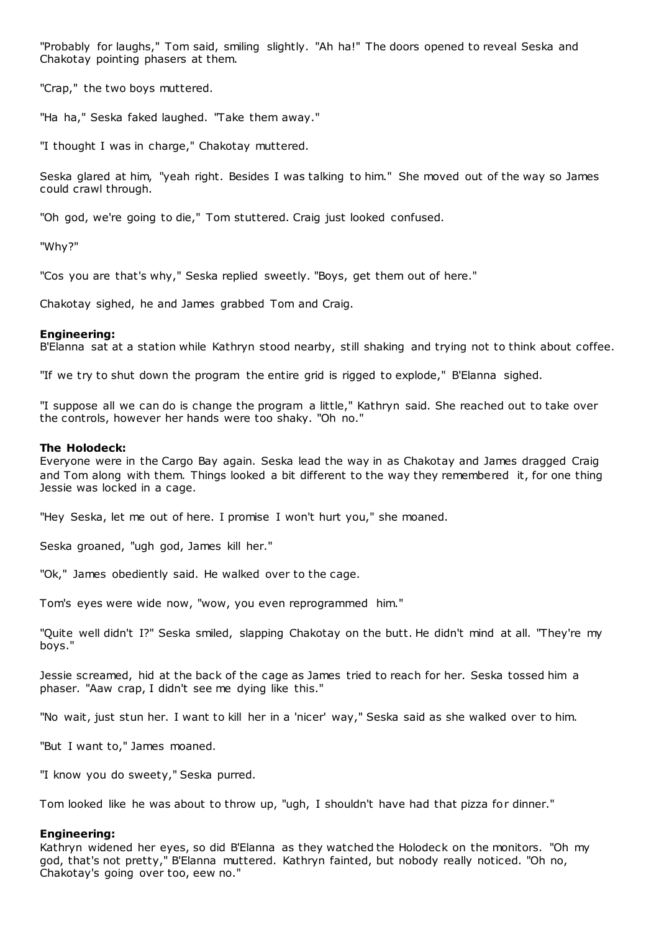"Probably for laughs," Tom said, smiling slightly. "Ah ha!" The doors opened to reveal Seska and Chakotay pointing phasers at them.

"Crap," the two boys muttered.

"Ha ha," Seska faked laughed. "Take them away."

"I thought I was in charge," Chakotay muttered.

Seska glared at him, "yeah right. Besides I was talking to him." She moved out of the way so James could crawl through.

"Oh god, we're going to die," Tom stuttered. Craig just looked confused.

"Why?"

"Cos you are that's why," Seska replied sweetly. "Boys, get them out of here."

Chakotay sighed, he and James grabbed Tom and Craig.

# **Engineering:**

B'Elanna sat at a station while Kathryn stood nearby, still shaking and trying not to think about coffee.

"If we try to shut down the program the entire grid is rigged to explode," B'Elanna sighed.

"I suppose all we can do is change the program a little," Kathryn said. She reached out to take over the controls, however her hands were too shaky. "Oh no."

# **The Holodeck:**

Everyone were in the Cargo Bay again. Seska lead the way in as Chakotay and James dragged Craig and Tom along with them. Things looked a bit different to the way they remembered it, for one thing Jessie was locked in a cage.

"Hey Seska, let me out of here. I promise I won't hurt you," she moaned.

Seska groaned, "ugh god, James kill her."

"Ok," James obediently said. He walked over to the cage.

Tom's eyes were wide now, "wow, you even reprogrammed him."

"Quite well didn't I?" Seska smiled, slapping Chakotay on the butt. He didn't mind at all. "They're my boys."

Jessie screamed, hid at the back of the cage as James tried to reach for her. Seska tossed him a phaser. "Aaw crap, I didn't see me dying like this."

"No wait, just stun her. I want to kill her in a 'nicer' way," Seska said as she walked over to him.

"But I want to," James moaned.

"I know you do sweety," Seska purred.

Tom looked like he was about to throw up, "ugh, I shouldn't have had that pizza for dinner."

# **Engineering:**

Kathryn widened her eyes, so did B'Elanna as they watched the Holodeck on the monitors. "Oh my god, that's not pretty," B'Elanna muttered. Kathryn fainted, but nobody really noticed. "Oh no, Chakotay's going over too, eew no."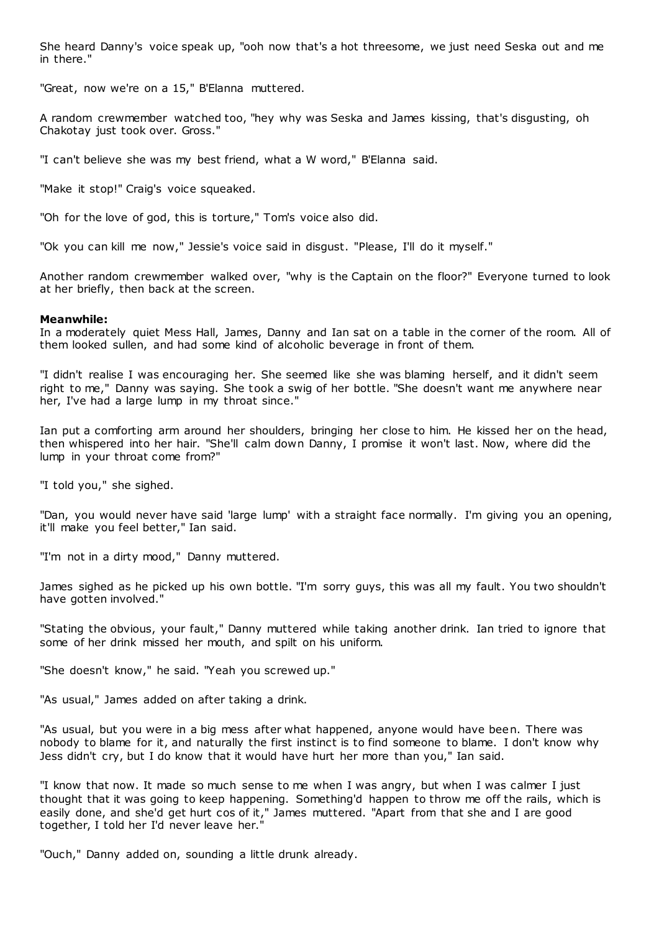She heard Danny's voice speak up, "ooh now that's a hot threesome, we just need Seska out and me in there."

"Great, now we're on a 15," B'Elanna muttered.

A random crewmember watched too, "hey why was Seska and James kissing, that's disgusting, oh Chakotay just took over. Gross."

"I can't believe she was my best friend, what a W word," B'Elanna said.

"Make it stop!" Craig's voice squeaked.

"Oh for the love of god, this is torture," Tom's voice also did.

"Ok you can kill me now," Jessie's voice said in disgust. "Please, I'll do it myself."

Another random crewmember walked over, "why is the Captain on the floor?" Everyone turned to look at her briefly, then back at the screen.

#### **Meanwhile:**

In a moderately quiet Mess Hall, James, Danny and Ian sat on a table in the corner of the room. All of them looked sullen, and had some kind of alcoholic beverage in front of them.

"I didn't realise I was encouraging her. She seemed like she was blaming herself, and it didn't seem right to me," Danny was saying. She took a swig of her bottle. "She doesn't want me anywhere near her, I've had a large lump in my throat since."

Ian put a comforting arm around her shoulders, bringing her close to him. He kissed her on the head, then whispered into her hair. "She'll calm down Danny, I promise it won't last. Now, where did the lump in your throat come from?"

"I told you," she sighed.

"Dan, you would never have said 'large lump' with a straight face normally. I'm giving you an opening, it'll make you feel better," Ian said.

"I'm not in a dirty mood," Danny muttered.

James sighed as he picked up his own bottle. "I'm sorry guys, this was all my fault. You two shouldn't have gotten involved."

"Stating the obvious, your fault," Danny muttered while taking another drink. Ian tried to ignore that some of her drink missed her mouth, and spilt on his uniform.

"She doesn't know," he said. "Yeah you screwed up."

"As usual," James added on after taking a drink.

"As usual, but you were in a big mess after what happened, anyone would have been. There was nobody to blame for it, and naturally the first instinct is to find someone to blame. I don't know why Jess didn't cry, but I do know that it would have hurt her more than you," Ian said.

"I know that now. It made so much sense to me when I was angry, but when I was calmer I just thought that it was going to keep happening. Something'd happen to throw me off the rails, which is easily done, and she'd get hurt cos of it," James muttered. "Apart from that she and I are good together, I told her I'd never leave her."

"Ouch," Danny added on, sounding a little drunk already.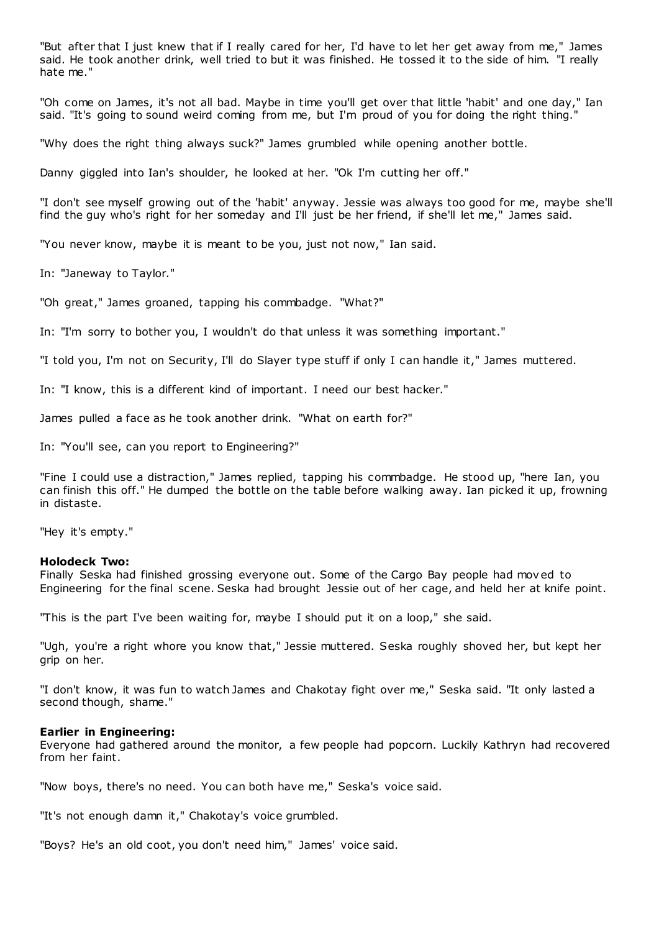"But after that I just knew that if I really cared for her, I'd have to let her get away from me," James said. He took another drink, well tried to but it was finished. He tossed it to the side of him. "I really hate me."

"Oh come on James, it's not all bad. Maybe in time you'll get over that little 'habit' and one day," Ian said. "It's going to sound weird coming from me, but I'm proud of you for doing the right thing."

"Why does the right thing always suck?" James grumbled while opening another bottle.

Danny giggled into Ian's shoulder, he looked at her. "Ok I'm cutting her off."

"I don't see myself growing out of the 'habit' anyway. Jessie was always too good for me, maybe she'll find the guy who's right for her someday and I'll just be her friend, if she'll let me," James said.

"You never know, maybe it is meant to be you, just not now," Ian said.

In: "Janeway to Taylor."

"Oh great," James groaned, tapping his commbadge. "What?"

In: "I'm sorry to bother you, I wouldn't do that unless it was something important."

"I told you, I'm not on Security, I'll do Slayer type stuff if only I can handle it," James muttered.

In: "I know, this is a different kind of important. I need our best hacker."

James pulled a face as he took another drink. "What on earth for?"

In: "You'll see, can you report to Engineering?"

"Fine I could use a distraction," James replied, tapping his commbadge. He stood up, "here Ian, you can finish this off." He dumped the bottle on the table before walking away. Ian picked it up, frowning in distaste.

"Hey it's empty."

#### **Holodeck Two:**

Finally Seska had finished grossing everyone out. Some of the Cargo Bay people had moved to Engineering for the final scene. Seska had brought Jessie out of her cage, and held her at knife point.

"This is the part I've been waiting for, maybe I should put it on a loop," she said.

"Ugh, you're a right whore you know that," Jessie muttered. Seska roughly shoved her, but kept her grip on her.

"I don't know, it was fun to watch James and Chakotay fight over me," Seska said. "It only lasted a second though, shame."

#### **Earlier in Engineering:**

Everyone had gathered around the monitor, a few people had popcorn. Luckily Kathryn had recovered from her faint.

"Now boys, there's no need. You can both have me," Seska's voice said.

"It's not enough damn it," Chakotay's voice grumbled.

"Boys? He's an old coot, you don't need him," James' voice said.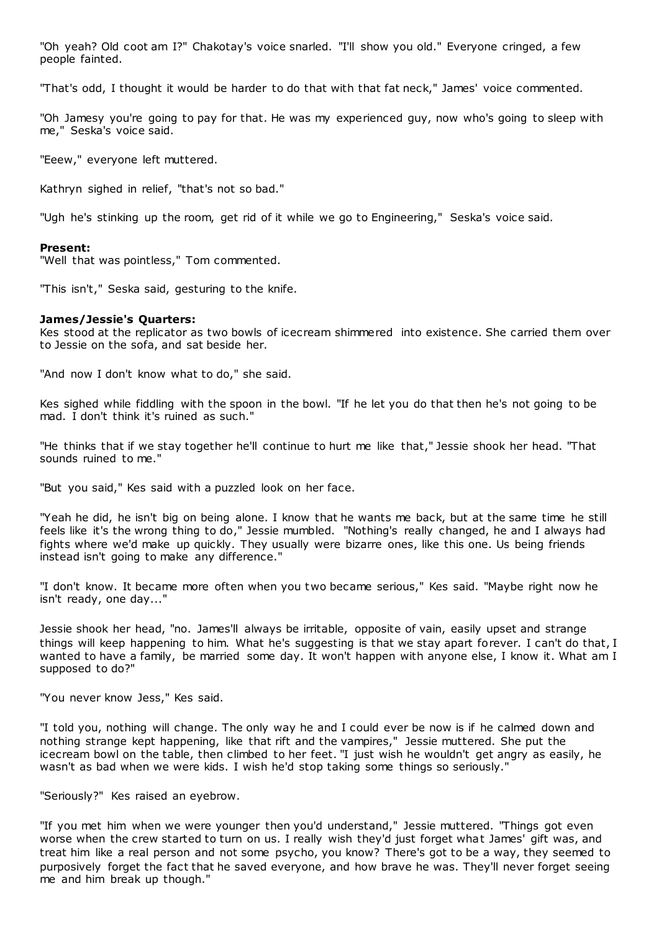"Oh yeah? Old coot am I?" Chakotay's voice snarled. "I'll show you old." Everyone cringed, a few people fainted.

"That's odd, I thought it would be harder to do that with that fat neck," James' voice commented.

"Oh Jamesy you're going to pay for that. He was my experienced guy, now who's going to sleep with me," Seska's voice said.

"Eeew," everyone left muttered.

Kathryn sighed in relief, "that's not so bad."

"Ugh he's stinking up the room, get rid of it while we go to Engineering," Seska's voice said.

#### **Present:**

"Well that was pointless," Tom commented.

"This isn't," Seska said, gesturing to the knife.

#### **James/Jessie's Quarters:**

Kes stood at the replicator as two bowls of icecream shimmered into existence. She carried them over to Jessie on the sofa, and sat beside her.

"And now I don't know what to do," she said.

Kes sighed while fiddling with the spoon in the bowl. "If he let you do that then he's not going to be mad. I don't think it's ruined as such."

"He thinks that if we stay together he'll continue to hurt me like that," Jessie shook her head. "That sounds ruined to me."

"But you said," Kes said with a puzzled look on her face.

"Yeah he did, he isn't big on being alone. I know that he wants me back, but at the same time he still feels like it's the wrong thing to do," Jessie mumbled. "Nothing's really changed, he and I always had fights where we'd make up quickly. They usually were bizarre ones, like this one. Us being friends instead isn't going to make any difference."

"I don't know. It became more often when you two became serious," Kes said. "Maybe right now he isn't ready, one day..."

Jessie shook her head, "no. James'll always be irritable, opposite of vain, easily upset and strange things will keep happening to him. What he's suggesting is that we stay apart forever. I can't do that, I wanted to have a family, be married some day. It won't happen with anyone else, I know it. What am I supposed to do?"

"You never know Jess," Kes said.

"I told you, nothing will change. The only way he and I could ever be now is if he calmed down and nothing strange kept happening, like that rift and the vampires," Jessie muttered. She put the icecream bowl on the table, then climbed to her feet. "I just wish he wouldn't get angry as easily, he wasn't as bad when we were kids. I wish he'd stop taking some things so seriously."

"Seriously?" Kes raised an eyebrow.

"If you met him when we were younger then you'd understand," Jessie muttered. "Things got even worse when the crew started to turn on us. I really wish they'd just forget what James' gift was, and treat him like a real person and not some psycho, you know? There's got to be a way, they seemed to purposively forget the fact that he saved everyone, and how brave he was. They'll never forget seeing me and him break up though."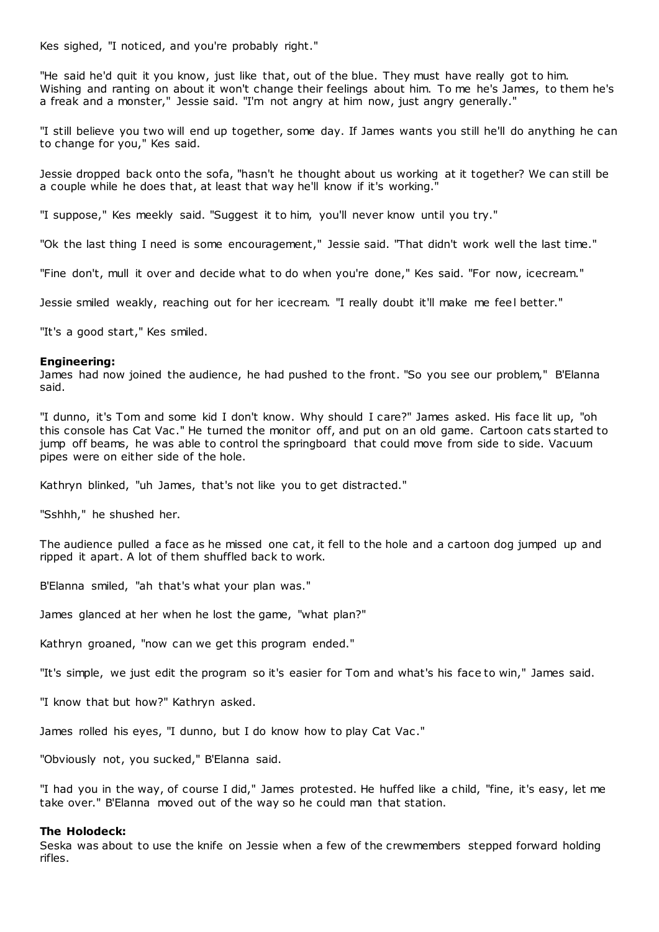Kes sighed, "I noticed, and you're probably right."

"He said he'd quit it you know, just like that, out of the blue. They must have really got to him. Wishing and ranting on about it won't change their feelings about him. To me he's James, to them he's a freak and a monster," Jessie said. "I'm not angry at him now, just angry generally."

"I still believe you two will end up together, some day. If James wants you still he'll do anything he can to change for you," Kes said.

Jessie dropped back onto the sofa, "hasn't he thought about us working at it together? We can still be a couple while he does that, at least that way he'll know if it's working."

"I suppose," Kes meekly said. "Suggest it to him, you'll never know until you try."

"Ok the last thing I need is some encouragement," Jessie said. "That didn't work well the last time."

"Fine don't, mull it over and decide what to do when you're done," Kes said. "For now, icecream."

Jessie smiled weakly, reaching out for her icecream. "I really doubt it'll make me feel better."

"It's a good start," Kes smiled.

#### **Engineering:**

James had now joined the audience, he had pushed to the front. "So you see our problem," B'Elanna said.

"I dunno, it's Tom and some kid I don't know. Why should I care?" James asked. His face lit up, "oh this console has Cat Vac ." He turned the monitor off, and put on an old game. Cartoon cats started to jump off beams, he was able to control the springboard that could move from side to side. Vacuum pipes were on either side of the hole.

Kathryn blinked, "uh James, that's not like you to get distracted."

"Sshhh," he shushed her.

The audience pulled a face as he missed one cat, it fell to the hole and a cartoon dog jumped up and ripped it apart. A lot of them shuffled back to work.

B'Elanna smiled, "ah that's what your plan was."

James glanced at her when he lost the game, "what plan?"

Kathryn groaned, "now can we get this program ended."

"It's simple, we just edit the program so it's easier for Tom and what's his face to win," James said.

"I know that but how?" Kathryn asked.

James rolled his eyes, "I dunno, but I do know how to play Cat Vac ."

"Obviously not, you sucked," B'Elanna said.

"I had you in the way, of course I did," James protested. He huffed like a child, "fine, it's easy, let me take over." B'Elanna moved out of the way so he could man that station.

#### **The Holodeck:**

Seska was about to use the knife on Jessie when a few of the crewmembers stepped forward holding rifles.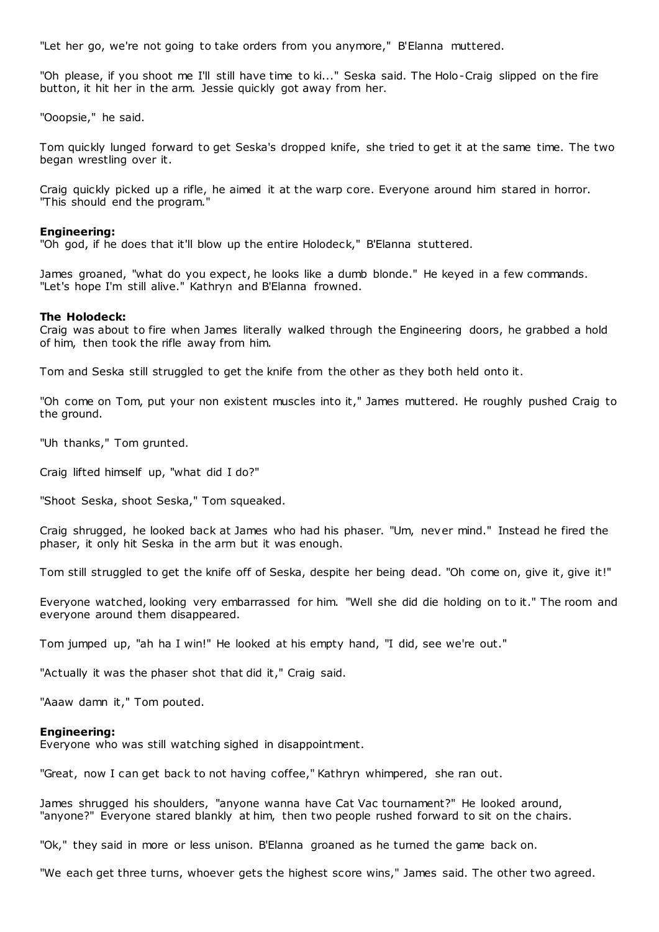"Let her go, we're not going to take orders from you anymore," B'Elanna muttered.

"Oh please, if you shoot me I'll still have time to ki..." Seska said. The Holo-Craig slipped on the fire button, it hit her in the arm. Jessie quickly got away from her.

"Ooopsie," he said.

Tom quickly lunged forward to get Seska's dropped knife, she tried to get it at the same time. The two began wrestling over it.

Craig quickly picked up a rifle, he aimed it at the warp core. Everyone around him stared in horror. "This should end the program."

#### **Engineering:**

"Oh god, if he does that it'll blow up the entire Holodeck," B'Elanna stuttered.

James groaned, "what do you expect, he looks like a dumb blonde." He keyed in a few commands. "Let's hope I'm still alive." Kathryn and B'Elanna frowned.

#### **The Holodeck:**

Craig was about to fire when James literally walked through the Engineering doors, he grabbed a hold of him, then took the rifle away from him.

Tom and Seska still struggled to get the knife from the other as they both held onto it.

"Oh come on Tom, put your non existent muscles into it," James muttered. He roughly pushed Craig to the ground.

"Uh thanks," Tom grunted.

Craig lifted himself up, "what did I do?"

"Shoot Seska, shoot Seska," Tom squeaked.

Craig shrugged, he looked back at James who had his phaser. "Um, never mind." Instead he fired the phaser, it only hit Seska in the arm but it was enough.

Tom still struggled to get the knife off of Seska, despite her being dead. "Oh come on, give it, give it!"

Everyone watched, looking very embarrassed for him. "Well she did die holding on to it." The room and everyone around them disappeared.

Tom jumped up, "ah ha I win!" He looked at his empty hand, "I did, see we're out."

"Actually it was the phaser shot that did it," Craig said.

"Aaaw damn it," Tom pouted.

#### **Engineering:**

Everyone who was still watching sighed in disappointment.

"Great, now I can get back to not having coffee," Kathryn whimpered, she ran out.

James shrugged his shoulders, "anyone wanna have Cat Vac tournament?" He looked around, "anyone?" Everyone stared blankly at him, then two people rushed forward to sit on the chairs.

"Ok," they said in more or less unison. B'Elanna groaned as he turned the game back on.

"We each get three turns, whoever gets the highest score wins," James said. The other two agreed.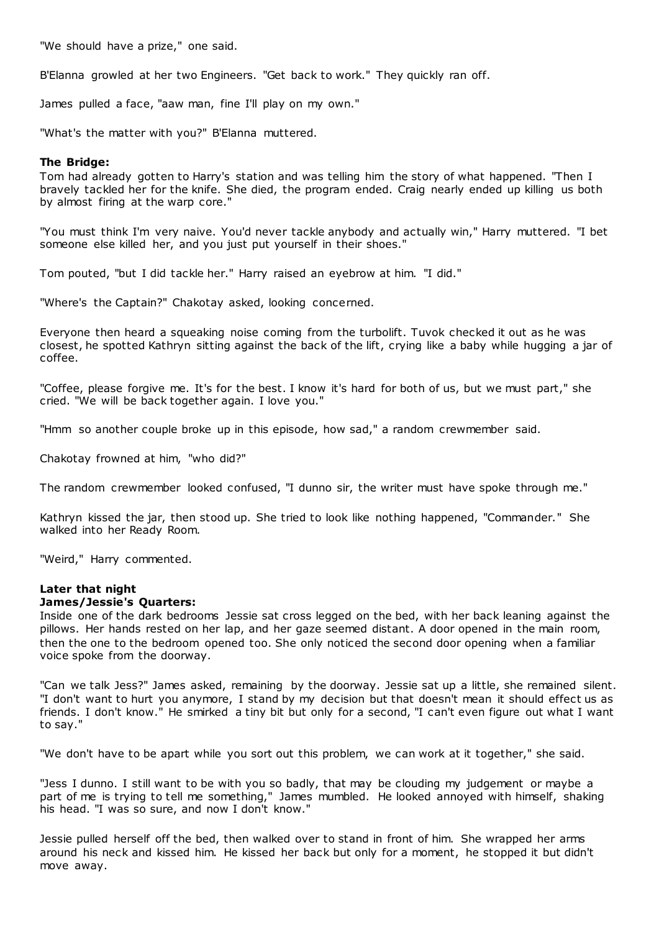"We should have a prize," one said.

B'Elanna growled at her two Engineers. "Get back to work." They quickly ran off.

James pulled a face, "aaw man, fine I'll play on my own."

"What's the matter with you?" B'Elanna muttered.

# **The Bridge:**

Tom had already gotten to Harry's station and was telling him the story of what happened. "Then I bravely tackled her for the knife. She died, the program ended. Craig nearly ended up killing us both by almost firing at the warp core."

"You must think I'm very naive. You'd never tackle anybody and actually win," Harry muttered. "I bet someone else killed her, and you just put yourself in their shoes."

Tom pouted, "but I did tackle her." Harry raised an eyebrow at him. "I did."

"Where's the Captain?" Chakotay asked, looking concerned.

Everyone then heard a squeaking noise coming from the turbolift. Tuvok checked it out as he was closest, he spotted Kathryn sitting against the back of the lift, crying like a baby while hugging a jar of coffee.

"Coffee, please forgive me. It's for the best. I know it's hard for both of us, but we must part," she cried. "We will be back together again. I love you."

"Hmm so another couple broke up in this episode, how sad," a random crewmember said.

Chakotay frowned at him, "who did?"

The random crewmember looked confused, "I dunno sir, the writer must have spoke through me."

Kathryn kissed the jar, then stood up. She tried to look like nothing happened, "Commander." She walked into her Ready Room.

"Weird," Harry commented.

# **Later that night**

# **James/Jessie's Quarters:**

Inside one of the dark bedrooms Jessie sat cross legged on the bed, with her back leaning against the pillows. Her hands rested on her lap, and her gaze seemed distant. A door opened in the main room, then the one to the bedroom opened too. She only noticed the second door opening when a familiar voice spoke from the doorway.

"Can we talk Jess?" James asked, remaining by the doorway. Jessie sat up a little, she remained silent. "I don't want to hurt you anymore, I stand by my decision but that doesn't mean it should effect us as friends. I don't know." He smirked a tiny bit but only for a second, "I can't even figure out what I want to say."

"We don't have to be apart while you sort out this problem, we can work at it together," she said.

"Jess I dunno. I still want to be with you so badly, that may be clouding my judgement or maybe a part of me is trying to tell me something," James mumbled. He looked annoyed with himself, shaking his head. "I was so sure, and now I don't know."

Jessie pulled herself off the bed, then walked over to stand in front of him. She wrapped her arms around his neck and kissed him. He kissed her back but only for a moment, he stopped it but didn't move away.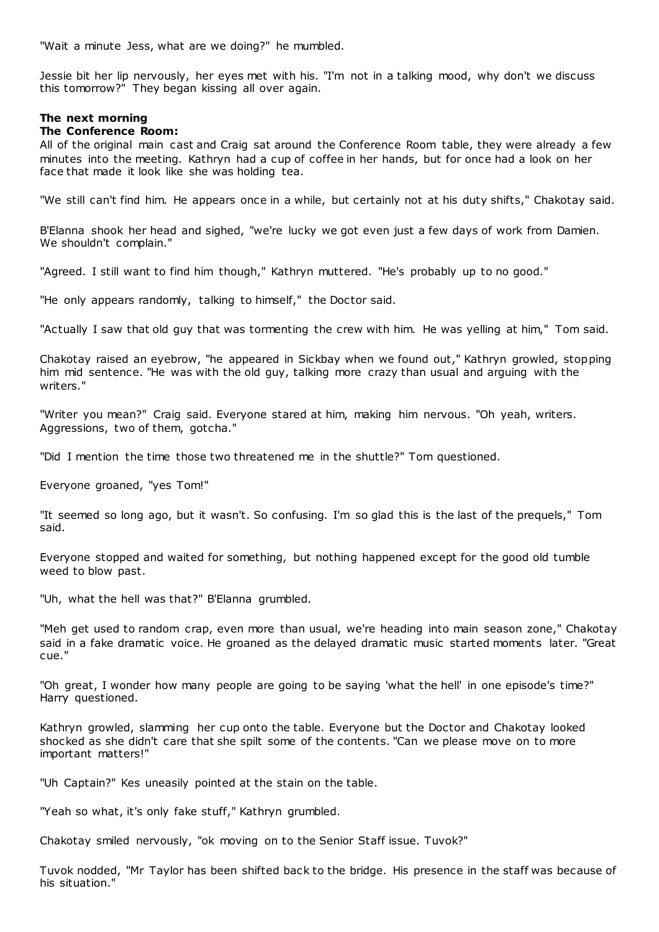"Wait a minute Jess, what are we doing?" he mumbled.

Jessie bit her lip nervously, her eyes met with his. "I'm not in a talking mood, why don't we discuss this tomorrow?" They began kissing all over again.

# **The next morning**

# **The Conference Room:**

All of the original main cast and Craig sat around the Conference Room table, they were already a few minutes into the meeting. Kathryn had a cup of coffee in her hands, but for once had a look on her face that made it look like she was holding tea.

"We still can't find him. He appears once in a while, but certainly not at his duty shifts," Chakotay said.

B'Elanna shook her head and sighed, "we're lucky we got even just a few days of work from Damien. We shouldn't complain."

"Agreed. I still want to find him though," Kathryn muttered. "He's probably up to no good."

"He only appears randomly, talking to himself," the Doctor said.

"Actually I saw that old guy that was tormenting the crew with him. He was yelling at him," Tom said.

Chakotay raised an eyebrow, "he appeared in Sickbay when we found out," Kathryn growled, stopping him mid sentence. "He was with the old guy, talking more crazy than usual and arguing with the writers."

"Writer you mean?" Craig said. Everyone stared at him, making him nervous. "Oh yeah, writers. Aggressions, two of them, gotcha."

"Did I mention the time those two threatened me in the shuttle?" Tom questioned.

Everyone groaned, "yes Tom!"

"It seemed so long ago, but it wasn't. So confusing. I'm so glad this is the last of the prequels," Tom said.

Everyone stopped and waited for something, but nothing happened except for the good old tumble weed to blow past.

"Uh, what the hell was that?" B'Elanna grumbled.

"Meh get used to random crap, even more than usual, we're heading into main season zone," Chakotay said in a fake dramatic voice. He groaned as the delayed dramatic music started moments later. "Great cue."

"Oh great, I wonder how many people are going to be saying 'what the hell' in one episode's time?" Harry questioned.

Kathryn growled, slamming her cup onto the table. Everyone but the Doctor and Chakotay looked shocked as she didn't care that she spilt some of the contents. "Can we please move on to more important matters!"

"Uh Captain?" Kes uneasily pointed at the stain on the table.

"Yeah so what, it's only fake stuff," Kathryn grumbled.

Chakotay smiled nervously, "ok moving on to the Senior Staff issue. Tuvok?"

Tuvok nodded, "Mr Taylor has been shifted back to the bridge. His presence in the staff was because of his situation."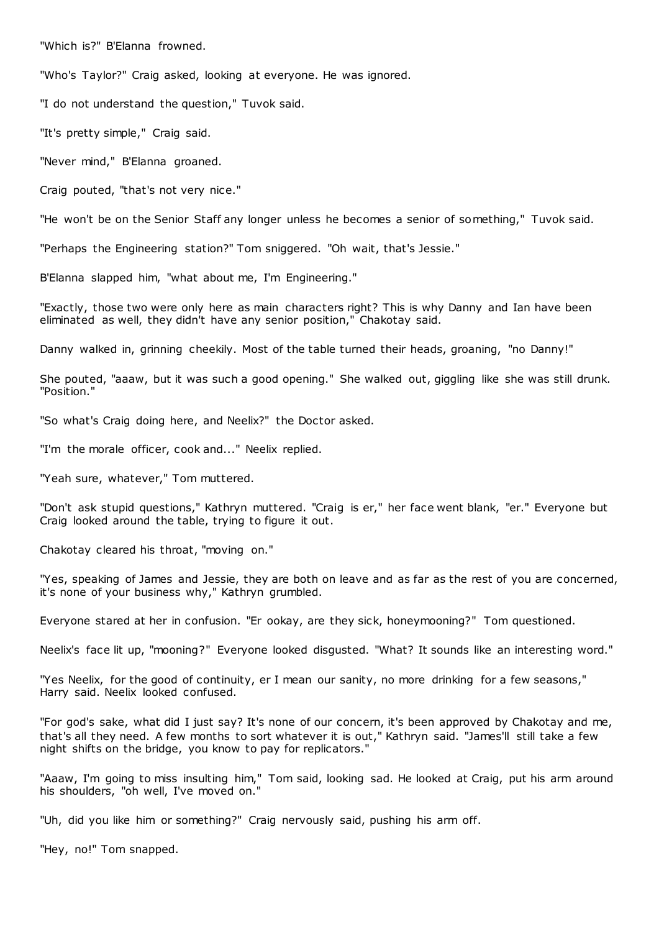"Which is?" B'Elanna frowned.

"Who's Taylor?" Craig asked, looking at everyone. He was ignored.

"I do not understand the question," Tuvok said.

"It's pretty simple," Craig said.

"Never mind," B'Elanna groaned.

Craig pouted, "that's not very nice."

"He won't be on the Senior Staff any longer unless he becomes a senior of something," Tuvok said.

"Perhaps the Engineering station?" Tom sniggered. "Oh wait, that's Jessie."

B'Elanna slapped him, "what about me, I'm Engineering."

"Exactly, those two were only here as main characters right? This is why Danny and Ian have been eliminated as well, they didn't have any senior position," Chakotay said.

Danny walked in, grinning cheekily. Most of the table turned their heads, groaning, "no Danny!"

She pouted, "aaaw, but it was such a good opening." She walked out, giggling like she was still drunk. "Position."

"So what's Craig doing here, and Neelix?" the Doctor asked.

"I'm the morale officer, cook and..." Neelix replied.

"Yeah sure, whatever," Tom muttered.

"Don't ask stupid questions," Kathryn muttered. "Craig is er," her face went blank, "er." Everyone but Craig looked around the table, trying to figure it out.

Chakotay cleared his throat, "moving on."

"Yes, speaking of James and Jessie, they are both on leave and as far as the rest of you are concerned, it's none of your business why," Kathryn grumbled.

Everyone stared at her in confusion. "Er ookay, are they sick, honeymooning?" Tom questioned.

Neelix's face lit up, "mooning?" Everyone looked disgusted. "What? It sounds like an interesting word."

"Yes Neelix, for the good of continuity, er I mean our sanity, no more drinking for a few seasons," Harry said. Neelix looked confused.

"For god's sake, what did I just say? It's none of our concern, it's been approved by Chakotay and me, that's all they need. A few months to sort whatever it is out," Kathryn said. "James'll still take a few night shifts on the bridge, you know to pay for replicators."

"Aaaw, I'm going to miss insulting him," Tom said, looking sad. He looked at Craig, put his arm around his shoulders, "oh well, I've moved on."

"Uh, did you like him or something?" Craig nervously said, pushing his arm off.

"Hey, no!" Tom snapped.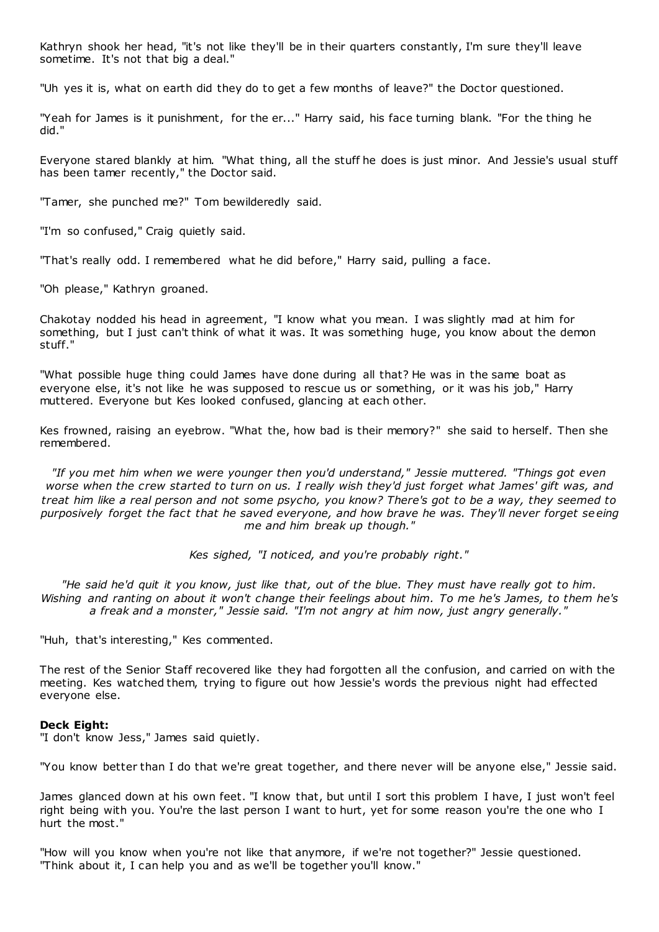Kathryn shook her head, "it's not like they'll be in their quarters constantly, I'm sure they'll leave sometime. It's not that big a deal."

"Uh yes it is, what on earth did they do to get a few months of leave?" the Doctor questioned.

"Yeah for James is it punishment, for the er..." Harry said, his face turning blank. "For the thing he did."

Everyone stared blankly at him. "What thing, all the stuff he does is just minor. And Jessie's usual stuff has been tamer recently," the Doctor said.

"Tamer, she punched me?" Tom bewilderedly said.

"I'm so confused," Craig quietly said.

"That's really odd. I remembered what he did before," Harry said, pulling a face.

"Oh please," Kathryn groaned.

Chakotay nodded his head in agreement, "I know what you mean. I was slightly mad at him for something, but I just can't think of what it was. It was something huge, you know about the demon stuff."

"What possible huge thing could James have done during all that? He was in the same boat as everyone else, it's not like he was supposed to rescue us or something, or it was his job," Harry muttered. Everyone but Kes looked confused, glancing at each other.

Kes frowned, raising an eyebrow. "What the, how bad is their memory?" she said to herself. Then she remembered.

*"If you met him when we were younger then you'd understand," Jessie muttered. "Things got even worse when the crew started to turn on us. I really wish they'd just forget what James' gift was, and treat him like a real person and not some psycho, you know? There's got to be a way, they seemed to purposively forget the fact that he saved everyone, and how brave he was. They'll never forget se eing me and him break up though."*

*Kes sighed, "I noticed, and you're probably right."*

*"He said he'd quit it you know, just like that, out of the blue. They must have really got to him. Wishing and ranting on about it won't change their feelings about him. To me he's James, to them he's a freak and a monster," Jessie said. "I'm not angry at him now, just angry generally."*

"Huh, that's interesting," Kes commented.

The rest of the Senior Staff recovered like they had forgotten all the confusion, and carried on with the meeting. Kes watched them, trying to figure out how Jessie's words the previous night had effected everyone else.

# **Deck Eight:**

"I don't know Jess," James said quietly.

"You know better than I do that we're great together, and there never will be anyone else," Jessie said.

James glanced down at his own feet. "I know that, but until I sort this problem I have, I just won't feel right being with you. You're the last person I want to hurt, yet for some reason you're the one who I hurt the most."

"How will you know when you're not like that anymore, if we're not together?" Jessie questioned. "Think about it, I can help you and as we'll be together you'll know."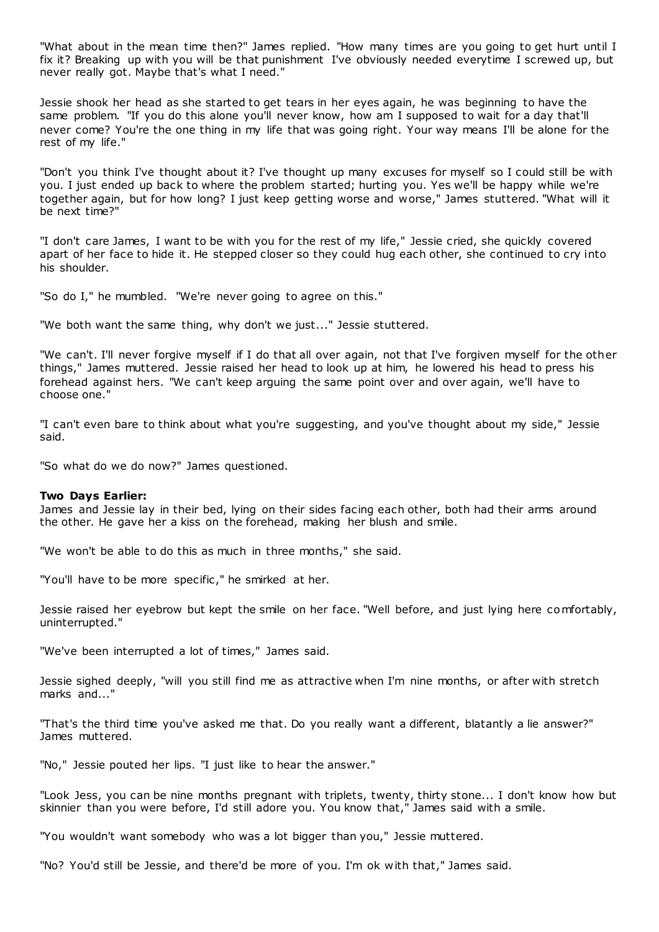"What about in the mean time then?" James replied. "How many times are you going to get hurt until I fix it? Breaking up with you will be that punishment I've obviously needed everytime I screwed up, but never really got. Maybe that's what I need."

Jessie shook her head as she started to get tears in her eyes again, he was beginning to have the same problem. "If you do this alone you'll never know, how am I supposed to wait for a day that'll never come? You're the one thing in my life that was going right. Your way means I'll be alone for the rest of my life."

"Don't you think I've thought about it? I've thought up many excuses for myself so I could still be with you. I just ended up back to where the problem started; hurting you. Yes we'll be happy while we're together again, but for how long? I just keep getting worse and worse," James stuttered. "What will it be next time?"

"I don't care James, I want to be with you for the rest of my life," Jessie cried, she quickly covered apart of her face to hide it. He stepped closer so they could hug each other, she continued to cry into his shoulder.

"So do I," he mumbled. "We're never going to agree on this."

"We both want the same thing, why don't we just..." Jessie stuttered.

"We can't. I'll never forgive myself if I do that all over again, not that I've forgiven myself for the other things," James muttered. Jessie raised her head to look up at him, he lowered his head to press his forehead against hers. "We can't keep arguing the same point over and over again, we'll have to choose one."

"I can't even bare to think about what you're suggesting, and you've thought about my side," Jessie said.

"So what do we do now?" James questioned.

#### **Two Days Earlier:**

James and Jessie lay in their bed, lying on their sides facing each other, both had their arms around the other. He gave her a kiss on the forehead, making her blush and smile.

"We won't be able to do this as much in three months," she said.

"You'll have to be more specific ," he smirked at her.

Jessie raised her eyebrow but kept the smile on her face. "Well before, and just lying here comfortably, uninterrupted."

"We've been interrupted a lot of times," James said.

Jessie sighed deeply, "will you still find me as attractive when I'm nine months, or after with stretch marks and..."

"That's the third time you've asked me that. Do you really want a different, blatantly a lie answer?" James muttered.

"No," Jessie pouted her lips. "I just like to hear the answer."

"Look Jess, you can be nine months pregnant with triplets, twenty, thirty stone... I don't know how but skinnier than you were before, I'd still adore you. You know that," James said with a smile.

"You wouldn't want somebody who was a lot bigger than you," Jessie muttered.

"No? You'd still be Jessie, and there'd be more of you. I'm ok with that," James said.